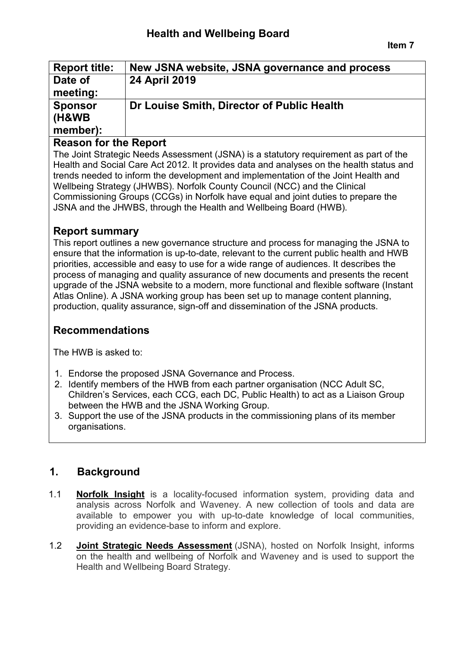| <b>Report title:</b> | New JSNA website, JSNA governance and process |
|----------------------|-----------------------------------------------|
| Date of              | <b>24 April 2019</b>                          |
| meeting:             |                                               |
| <b>Sponsor</b>       | Dr Louise Smith, Director of Public Health    |
| <b>(H&amp;WB)</b>    |                                               |
| member):             |                                               |

## **Reason for the Report**

The Joint Strategic Needs Assessment (JSNA) is a statutory requirement as part of the Health and Social Care Act 2012. It provides data and analyses on the health status and trends needed to inform the development and implementation of the Joint Health and Wellbeing Strategy (JHWBS). Norfolk County Council (NCC) and the Clinical Commissioning Groups (CCGs) in Norfolk have equal and joint duties to prepare the JSNA and the JHWBS, through the Health and Wellbeing Board (HWB).

## **Report summary**

This report outlines a new governance structure and process for managing the JSNA to ensure that the information is up-to-date, relevant to the current public health and HWB priorities, accessible and easy to use for a wide range of audiences. It describes the process of managing and quality assurance of new documents and presents the recent upgrade of the JSNA website to a modern, more functional and flexible software (Instant Atlas Online). A JSNA working group has been set up to manage content planning, production, quality assurance, sign-off and dissemination of the JSNA products.

# **Recommendations**

The HWB is asked to:

- 1. Endorse the proposed JSNA Governance and Process.
- 2. Identify members of the HWB from each partner organisation (NCC Adult SC, Children's Services, each CCG, each DC, Public Health) to act as a Liaison Group between the HWB and the JSNA Working Group.
- 3. Support the use of the JSNA products in the commissioning plans of its member organisations.

# **1. Background**

- 1.1 **[Norfolk Insight](http://www.norfolkinsight.org.uk/)** is a locality-focused information system, providing data and analysis across Norfolk and Waveney. A new collection of tools and data are available to empower you with up-to-date knowledge of local communities, providing an evidence-base to inform and explore.
- 1.2 **[Joint Strategic Needs Assessment](http://www.norfolkinsight.org.uk/jsna)** (JSNA), hosted on Norfolk Insight, informs on the health and wellbeing of Norfolk and Waveney and is used to support the Health and Wellbeing Board Strategy.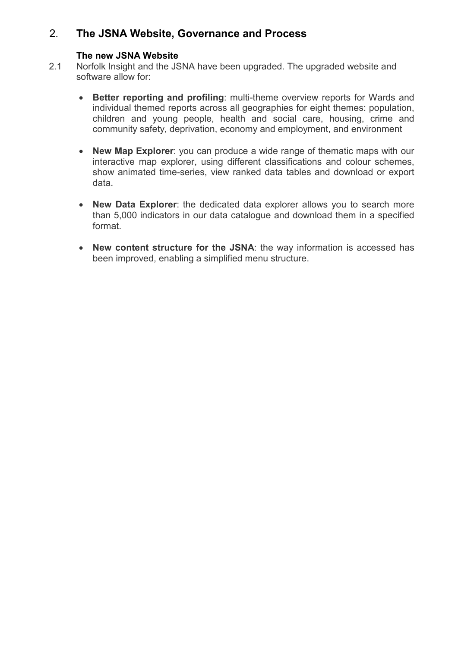# 2. **The JSNA Website, Governance and Process**

#### **The new JSNA Website**

- 2.1 Norfolk Insight and the JSNA have been upgraded. The upgraded website and software allow for:
	- **Better reporting and profiling**: multi-theme overview reports for Wards and individual themed reports across all geographies for eight themes: population, children and young people, health and social care, housing, crime and community safety, deprivation, economy and employment, and environment
	- **New Map Explorer**: you can produce a wide range of thematic maps with our interactive map explorer, using different classifications and colour schemes, show animated time-series, view ranked data tables and download or export data.
	- **New Data Explorer**: the dedicated data explorer allows you to search more than 5,000 indicators in our data catalogue and download them in a specified format.
	- **New content structure for the JSNA**: the way information is accessed has been improved, enabling a simplified menu structure.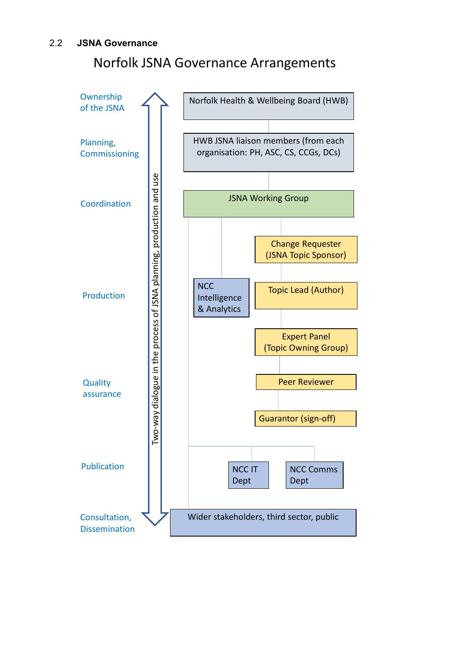# Norfolk JSNA Governance Arrangements

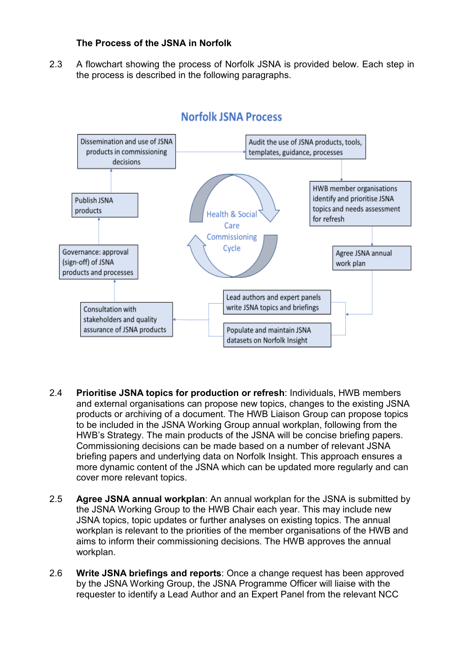#### **The Process of the JSNA in Norfolk**

2.3 A flowchart showing the process of Norfolk JSNA is provided below. Each step in the process is described in the following paragraphs.



## **Norfolk JSNA Process**

- 2.4 **Prioritise JSNA topics for production or refresh**: Individuals, HWB members and external organisations can propose new topics, changes to the existing JSNA products or archiving of a document. The HWB Liaison Group can propose topics to be included in the JSNA Working Group annual workplan, following from the HWB's Strategy. The main products of the JSNA will be concise briefing papers. Commissioning decisions can be made based on a number of relevant JSNA briefing papers and underlying data on Norfolk Insight. This approach ensures a more dynamic content of the JSNA which can be updated more regularly and can cover more relevant topics.
- 2.5 **Agree JSNA annual workplan**: An annual workplan for the JSNA is submitted by the JSNA Working Group to the HWB Chair each year. This may include new JSNA topics, topic updates or further analyses on existing topics. The annual workplan is relevant to the priorities of the member organisations of the HWB and aims to inform their commissioning decisions. The HWB approves the annual workplan.
- 2.6 **Write JSNA briefings and reports**: Once a change request has been approved by the JSNA Working Group, the JSNA Programme Officer will liaise with the requester to identify a Lead Author and an Expert Panel from the relevant NCC